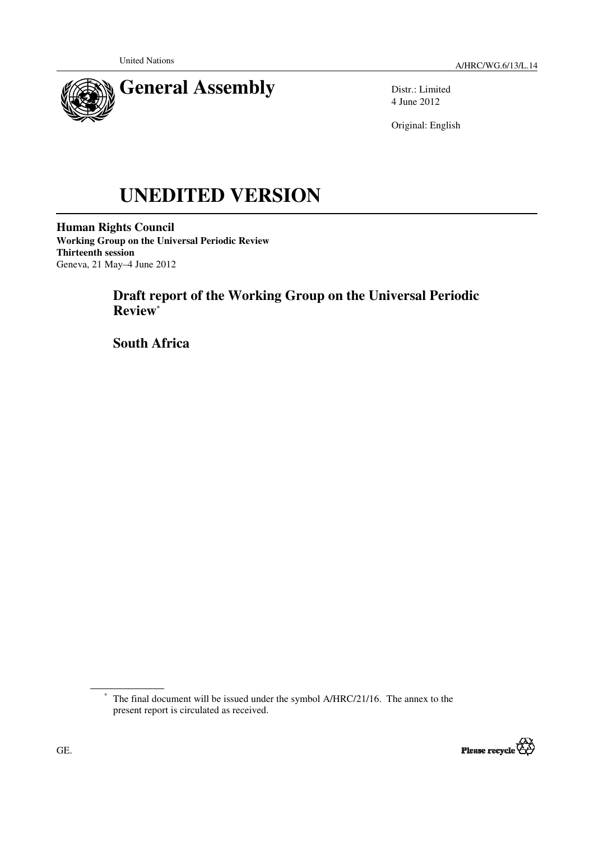

Distr.: Limited 4 June 2012

Original: English

# **UNEDITED VERSION**

**Human Rights Council Working Group on the Universal Periodic Review Thirteenth session**  Geneva, 21 May–4 June 2012

# **Draft report of the Working Group on the Universal Periodic Review\***

 **South Africa** 

<sup>\*</sup> The final document will be issued under the symbol A/HRC/21/16. The annex to the present report is circulated as received.

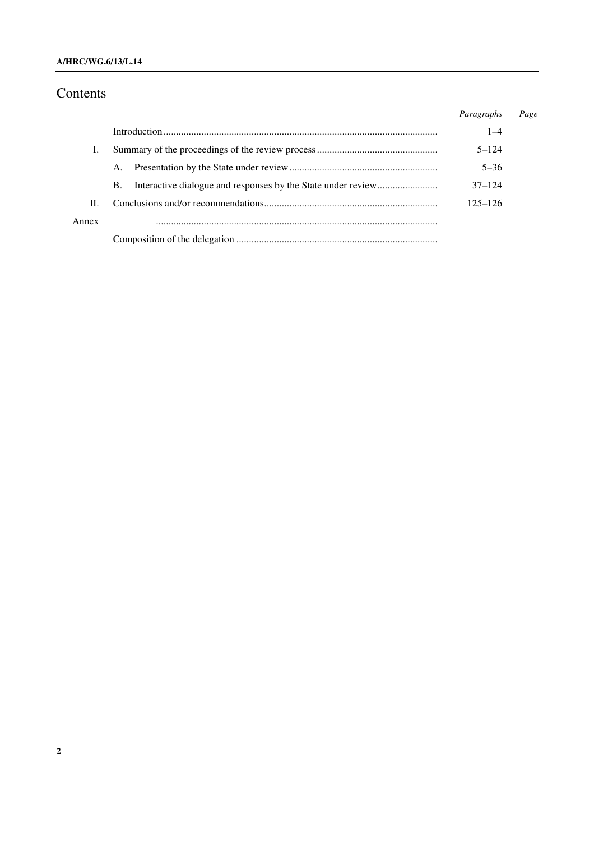#### **A/HRC/WG.6/13/L.14**

# Contents

|       |    | Paragraphs | Page |
|-------|----|------------|------|
|       |    | $1 - 4$    |      |
|       |    | $5 - 124$  |      |
|       | A. | $5 - 36$   |      |
|       | В. | $37 - 124$ |      |
| П.    |    | 125–126    |      |
| Annex |    |            |      |
|       |    |            |      |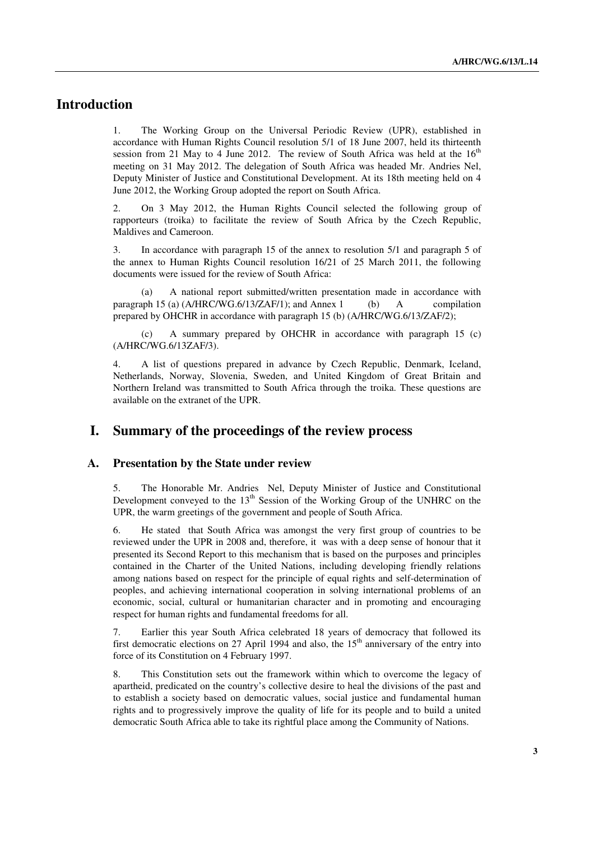# **Introduction**

1. The Working Group on the Universal Periodic Review (UPR), established in accordance with Human Rights Council resolution 5/1 of 18 June 2007, held its thirteenth session from 21 May to 4 June 2012. The review of South Africa was held at the  $16<sup>th</sup>$ meeting on 31 May 2012. The delegation of South Africa was headed Mr. Andries Nel, Deputy Minister of Justice and Constitutional Development. At its 18th meeting held on 4 June 2012, the Working Group adopted the report on South Africa.

2. On 3 May 2012, the Human Rights Council selected the following group of rapporteurs (troika) to facilitate the review of South Africa by the Czech Republic, Maldives and Cameroon.

3. In accordance with paragraph 15 of the annex to resolution 5/1 and paragraph 5 of the annex to Human Rights Council resolution 16/21 of 25 March 2011, the following documents were issued for the review of South Africa:

 (a) A national report submitted/written presentation made in accordance with paragraph 15 (a) (A/HRC/WG.6/13/ZAF/1); and Annex 1 (b) A compilation prepared by OHCHR in accordance with paragraph 15 (b) (A/HRC/WG.6/13/ZAF/2);

 (c) A summary prepared by OHCHR in accordance with paragraph 15 (c) (A/HRC/WG.6/13ZAF/3).

4. A list of questions prepared in advance by Czech Republic, Denmark, Iceland, Netherlands, Norway, Slovenia, Sweden, and United Kingdom of Great Britain and Northern Ireland was transmitted to South Africa through the troika. These questions are available on the extranet of the UPR.

## **I. Summary of the proceedings of the review process**

#### **A. Presentation by the State under review**

5. The Honorable Mr. Andries Nel, Deputy Minister of Justice and Constitutional Development conveyed to the 13<sup>th</sup> Session of the Working Group of the UNHRC on the UPR, the warm greetings of the government and people of South Africa.

6. He stated that South Africa was amongst the very first group of countries to be reviewed under the UPR in 2008 and, therefore, it was with a deep sense of honour that it presented its Second Report to this mechanism that is based on the purposes and principles contained in the Charter of the United Nations, including developing friendly relations among nations based on respect for the principle of equal rights and self-determination of peoples, and achieving international cooperation in solving international problems of an economic, social, cultural or humanitarian character and in promoting and encouraging respect for human rights and fundamental freedoms for all.

7. Earlier this year South Africa celebrated 18 years of democracy that followed its first democratic elections on 27 April 1994 and also, the  $15<sup>th</sup>$  anniversary of the entry into force of its Constitution on 4 February 1997.

8. This Constitution sets out the framework within which to overcome the legacy of apartheid, predicated on the country's collective desire to heal the divisions of the past and to establish a society based on democratic values, social justice and fundamental human rights and to progressively improve the quality of life for its people and to build a united democratic South Africa able to take its rightful place among the Community of Nations.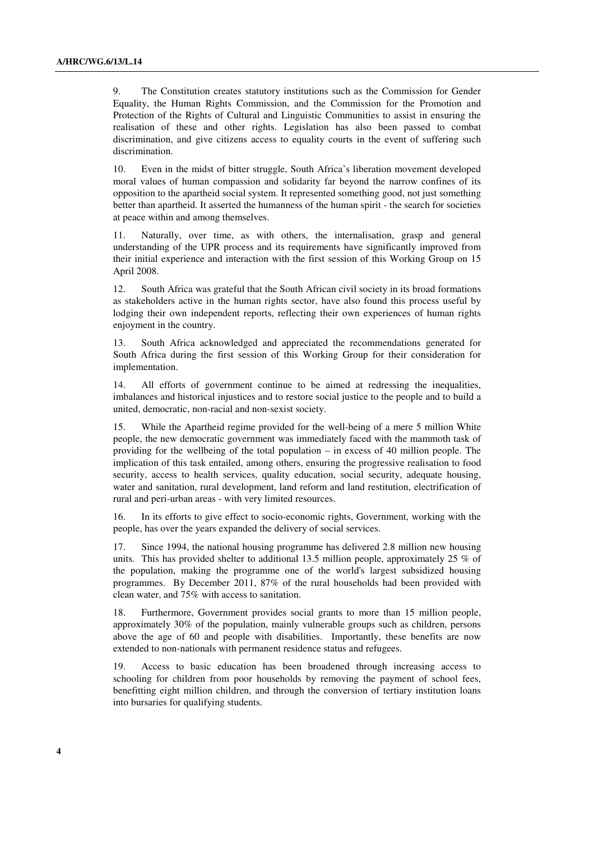9. The Constitution creates statutory institutions such as the Commission for Gender Equality, the Human Rights Commission, and the Commission for the Promotion and Protection of the Rights of Cultural and Linguistic Communities to assist in ensuring the realisation of these and other rights. Legislation has also been passed to combat discrimination, and give citizens access to equality courts in the event of suffering such discrimination.

10. Even in the midst of bitter struggle, South Africa's liberation movement developed moral values of human compassion and solidarity far beyond the narrow confines of its opposition to the apartheid social system. It represented something good, not just something better than apartheid. It asserted the humanness of the human spirit - the search for societies at peace within and among themselves.

11. Naturally, over time, as with others, the internalisation, grasp and general understanding of the UPR process and its requirements have significantly improved from their initial experience and interaction with the first session of this Working Group on 15 April 2008.

12. South Africa was grateful that the South African civil society in its broad formations as stakeholders active in the human rights sector, have also found this process useful by lodging their own independent reports, reflecting their own experiences of human rights enjoyment in the country.

13. South Africa acknowledged and appreciated the recommendations generated for South Africa during the first session of this Working Group for their consideration for implementation.

14. All efforts of government continue to be aimed at redressing the inequalities, imbalances and historical injustices and to restore social justice to the people and to build a united, democratic, non-racial and non-sexist society.

15. While the Apartheid regime provided for the well-being of a mere 5 million White people, the new democratic government was immediately faced with the mammoth task of providing for the wellbeing of the total population – in excess of 40 million people. The implication of this task entailed, among others, ensuring the progressive realisation to food security, access to health services, quality education, social security, adequate housing, water and sanitation, rural development, land reform and land restitution, electrification of rural and peri-urban areas - with very limited resources.

16. In its efforts to give effect to socio-economic rights, Government, working with the people, has over the years expanded the delivery of social services.

17. Since 1994, the national housing programme has delivered 2.8 million new housing units. This has provided shelter to additional 13.5 million people, approximately 25 % of the population, making the programme one of the world's largest subsidized housing programmes. By December 2011, 87% of the rural households had been provided with clean water, and 75% with access to sanitation.

18. Furthermore, Government provides social grants to more than 15 million people, approximately 30% of the population, mainly vulnerable groups such as children, persons above the age of 60 and people with disabilities. Importantly, these benefits are now extended to non-nationals with permanent residence status and refugees.

19. Access to basic education has been broadened through increasing access to schooling for children from poor households by removing the payment of school fees, benefitting eight million children, and through the conversion of tertiary institution loans into bursaries for qualifying students.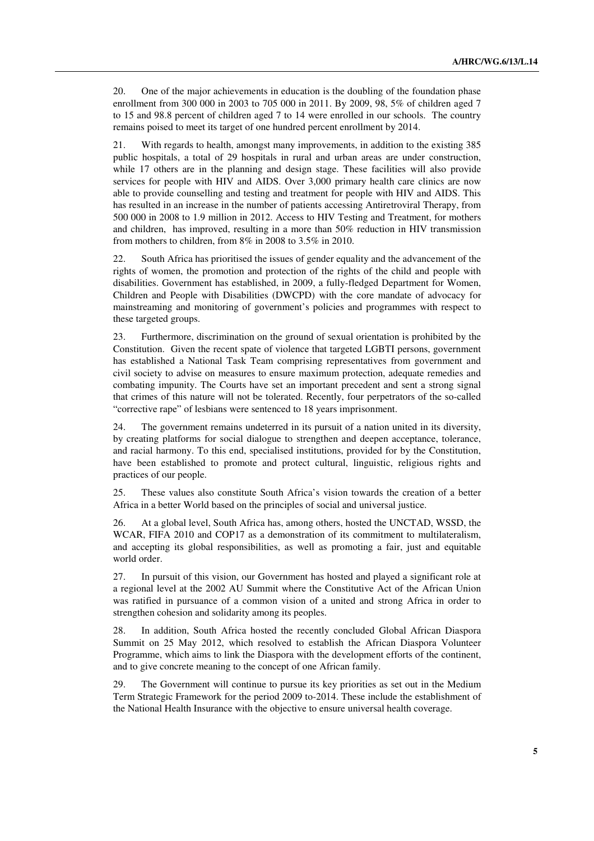20. One of the major achievements in education is the doubling of the foundation phase enrollment from 300 000 in 2003 to 705 000 in 2011. By 2009, 98, 5% of children aged 7 to 15 and 98.8 percent of children aged 7 to 14 were enrolled in our schools. The country remains poised to meet its target of one hundred percent enrollment by 2014.

21. With regards to health, amongst many improvements, in addition to the existing 385 public hospitals, a total of 29 hospitals in rural and urban areas are under construction, while 17 others are in the planning and design stage. These facilities will also provide services for people with HIV and AIDS. Over 3,000 primary health care clinics are now able to provide counselling and testing and treatment for people with HIV and AIDS. This has resulted in an increase in the number of patients accessing Antiretroviral Therapy, from 500 000 in 2008 to 1.9 million in 2012. Access to HIV Testing and Treatment, for mothers and children, has improved, resulting in a more than 50% reduction in HIV transmission from mothers to children, from 8% in 2008 to 3.5% in 2010.

22. South Africa has prioritised the issues of gender equality and the advancement of the rights of women, the promotion and protection of the rights of the child and people with disabilities. Government has established, in 2009, a fully-fledged Department for Women, Children and People with Disabilities (DWCPD) with the core mandate of advocacy for mainstreaming and monitoring of government's policies and programmes with respect to these targeted groups.

23. Furthermore, discrimination on the ground of sexual orientation is prohibited by the Constitution. Given the recent spate of violence that targeted LGBTI persons, government has established a National Task Team comprising representatives from government and civil society to advise on measures to ensure maximum protection, adequate remedies and combating impunity. The Courts have set an important precedent and sent a strong signal that crimes of this nature will not be tolerated. Recently, four perpetrators of the so-called "corrective rape" of lesbians were sentenced to 18 years imprisonment.

24. The government remains undeterred in its pursuit of a nation united in its diversity, by creating platforms for social dialogue to strengthen and deepen acceptance, tolerance, and racial harmony. To this end, specialised institutions, provided for by the Constitution, have been established to promote and protect cultural, linguistic, religious rights and practices of our people.

25. These values also constitute South Africa's vision towards the creation of a better Africa in a better World based on the principles of social and universal justice.

26. At a global level, South Africa has, among others, hosted the UNCTAD, WSSD, the WCAR, FIFA 2010 and COP17 as a demonstration of its commitment to multilateralism, and accepting its global responsibilities, as well as promoting a fair, just and equitable world order.

27. In pursuit of this vision, our Government has hosted and played a significant role at a regional level at the 2002 AU Summit where the Constitutive Act of the African Union was ratified in pursuance of a common vision of a united and strong Africa in order to strengthen cohesion and solidarity among its peoples.

28. In addition, South Africa hosted the recently concluded Global African Diaspora Summit on 25 May 2012, which resolved to establish the African Diaspora Volunteer Programme, which aims to link the Diaspora with the development efforts of the continent, and to give concrete meaning to the concept of one African family.

29. The Government will continue to pursue its key priorities as set out in the Medium Term Strategic Framework for the period 2009 to-2014. These include the establishment of the National Health Insurance with the objective to ensure universal health coverage.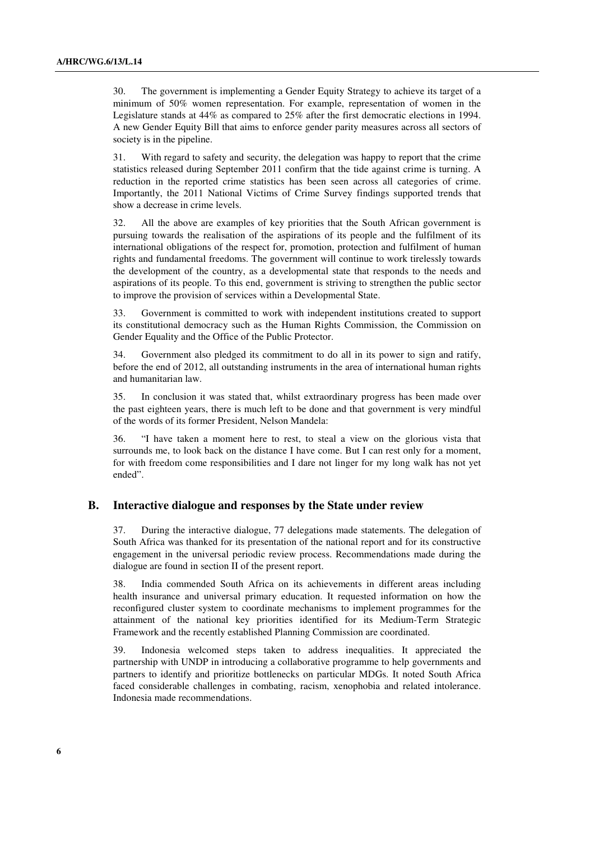30. The government is implementing a Gender Equity Strategy to achieve its target of a minimum of 50% women representation. For example, representation of women in the Legislature stands at 44% as compared to 25% after the first democratic elections in 1994. A new Gender Equity Bill that aims to enforce gender parity measures across all sectors of society is in the pipeline.

31. With regard to safety and security, the delegation was happy to report that the crime statistics released during September 2011 confirm that the tide against crime is turning. A reduction in the reported crime statistics has been seen across all categories of crime. Importantly, the 2011 National Victims of Crime Survey findings supported trends that show a decrease in crime levels.

32. All the above are examples of key priorities that the South African government is pursuing towards the realisation of the aspirations of its people and the fulfilment of its international obligations of the respect for, promotion, protection and fulfilment of human rights and fundamental freedoms. The government will continue to work tirelessly towards the development of the country, as a developmental state that responds to the needs and aspirations of its people. To this end, government is striving to strengthen the public sector to improve the provision of services within a Developmental State.

33. Government is committed to work with independent institutions created to support its constitutional democracy such as the Human Rights Commission, the Commission on Gender Equality and the Office of the Public Protector.

34. Government also pledged its commitment to do all in its power to sign and ratify, before the end of 2012, all outstanding instruments in the area of international human rights and humanitarian law.

35. In conclusion it was stated that, whilst extraordinary progress has been made over the past eighteen years, there is much left to be done and that government is very mindful of the words of its former President, Nelson Mandela:

36. "I have taken a moment here to rest, to steal a view on the glorious vista that surrounds me, to look back on the distance I have come. But I can rest only for a moment, for with freedom come responsibilities and I dare not linger for my long walk has not yet ended".

#### **B. Interactive dialogue and responses by the State under review**

37. During the interactive dialogue, 77 delegations made statements. The delegation of South Africa was thanked for its presentation of the national report and for its constructive engagement in the universal periodic review process. Recommendations made during the dialogue are found in section II of the present report.

38. India commended South Africa on its achievements in different areas including health insurance and universal primary education. It requested information on how the reconfigured cluster system to coordinate mechanisms to implement programmes for the attainment of the national key priorities identified for its Medium-Term Strategic Framework and the recently established Planning Commission are coordinated.

39. Indonesia welcomed steps taken to address inequalities. It appreciated the partnership with UNDP in introducing a collaborative programme to help governments and partners to identify and prioritize bottlenecks on particular MDGs. It noted South Africa faced considerable challenges in combating, racism, xenophobia and related intolerance. Indonesia made recommendations.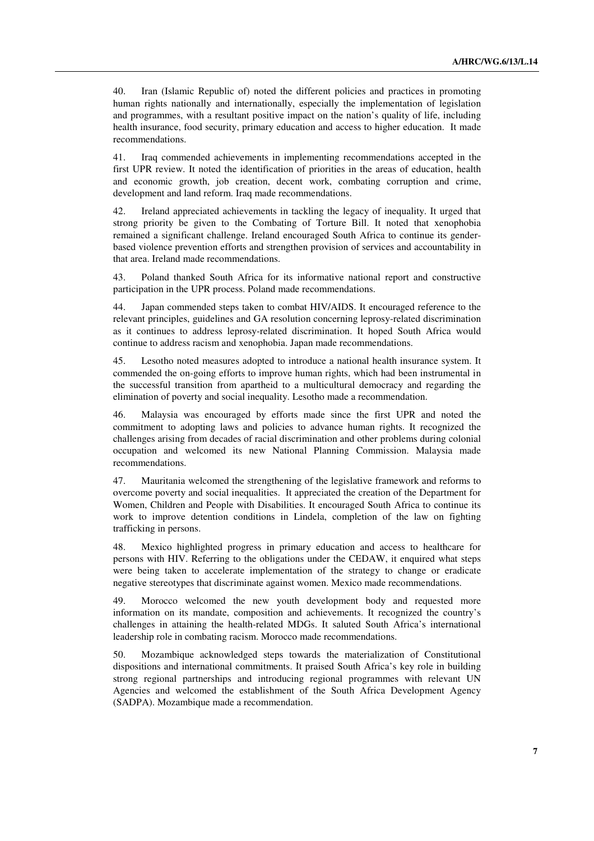40. Iran (Islamic Republic of) noted the different policies and practices in promoting human rights nationally and internationally, especially the implementation of legislation and programmes, with a resultant positive impact on the nation's quality of life, including health insurance, food security, primary education and access to higher education. It made recommendations.

41. Iraq commended achievements in implementing recommendations accepted in the first UPR review. It noted the identification of priorities in the areas of education, health and economic growth, job creation, decent work, combating corruption and crime, development and land reform. Iraq made recommendations.

42. Ireland appreciated achievements in tackling the legacy of inequality. It urged that strong priority be given to the Combating of Torture Bill. It noted that xenophobia remained a significant challenge. Ireland encouraged South Africa to continue its genderbased violence prevention efforts and strengthen provision of services and accountability in that area. Ireland made recommendations.

43. Poland thanked South Africa for its informative national report and constructive participation in the UPR process. Poland made recommendations.

44. Japan commended steps taken to combat HIV/AIDS. It encouraged reference to the relevant principles, guidelines and GA resolution concerning leprosy-related discrimination as it continues to address leprosy-related discrimination. It hoped South Africa would continue to address racism and xenophobia. Japan made recommendations.

45. Lesotho noted measures adopted to introduce a national health insurance system. It commended the on-going efforts to improve human rights, which had been instrumental in the successful transition from apartheid to a multicultural democracy and regarding the elimination of poverty and social inequality. Lesotho made a recommendation.

46. Malaysia was encouraged by efforts made since the first UPR and noted the commitment to adopting laws and policies to advance human rights. It recognized the challenges arising from decades of racial discrimination and other problems during colonial occupation and welcomed its new National Planning Commission. Malaysia made recommendations.

47. Mauritania welcomed the strengthening of the legislative framework and reforms to overcome poverty and social inequalities. It appreciated the creation of the Department for Women, Children and People with Disabilities. It encouraged South Africa to continue its work to improve detention conditions in Lindela, completion of the law on fighting trafficking in persons.

48. Mexico highlighted progress in primary education and access to healthcare for persons with HIV. Referring to the obligations under the CEDAW, it enquired what steps were being taken to accelerate implementation of the strategy to change or eradicate negative stereotypes that discriminate against women. Mexico made recommendations.

49. Morocco welcomed the new youth development body and requested more information on its mandate, composition and achievements. It recognized the country's challenges in attaining the health-related MDGs. It saluted South Africa's international leadership role in combating racism. Morocco made recommendations.

50. Mozambique acknowledged steps towards the materialization of Constitutional dispositions and international commitments. It praised South Africa's key role in building strong regional partnerships and introducing regional programmes with relevant UN Agencies and welcomed the establishment of the South Africa Development Agency (SADPA). Mozambique made a recommendation.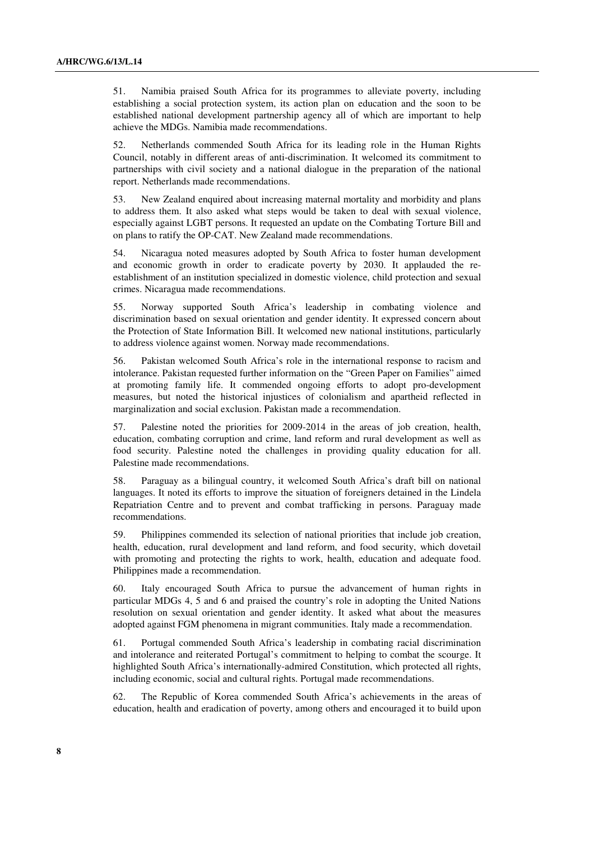51. Namibia praised South Africa for its programmes to alleviate poverty, including establishing a social protection system, its action plan on education and the soon to be established national development partnership agency all of which are important to help achieve the MDGs. Namibia made recommendations.

52. Netherlands commended South Africa for its leading role in the Human Rights Council, notably in different areas of anti-discrimination. It welcomed its commitment to partnerships with civil society and a national dialogue in the preparation of the national report. Netherlands made recommendations.

53. New Zealand enquired about increasing maternal mortality and morbidity and plans to address them. It also asked what steps would be taken to deal with sexual violence, especially against LGBT persons. It requested an update on the Combating Torture Bill and on plans to ratify the OP-CAT. New Zealand made recommendations.

54. Nicaragua noted measures adopted by South Africa to foster human development and economic growth in order to eradicate poverty by 2030. It applauded the reestablishment of an institution specialized in domestic violence, child protection and sexual crimes. Nicaragua made recommendations.

55. Norway supported South Africa's leadership in combating violence and discrimination based on sexual orientation and gender identity. It expressed concern about the Protection of State Information Bill. It welcomed new national institutions, particularly to address violence against women. Norway made recommendations.

56. Pakistan welcomed South Africa's role in the international response to racism and intolerance. Pakistan requested further information on the "Green Paper on Families" aimed at promoting family life. It commended ongoing efforts to adopt pro-development measures, but noted the historical injustices of colonialism and apartheid reflected in marginalization and social exclusion. Pakistan made a recommendation.

57. Palestine noted the priorities for 2009-2014 in the areas of job creation, health, education, combating corruption and crime, land reform and rural development as well as food security. Palestine noted the challenges in providing quality education for all. Palestine made recommendations.

58. Paraguay as a bilingual country, it welcomed South Africa's draft bill on national languages. It noted its efforts to improve the situation of foreigners detained in the Lindela Repatriation Centre and to prevent and combat trafficking in persons. Paraguay made recommendations.

59. Philippines commended its selection of national priorities that include job creation, health, education, rural development and land reform, and food security, which dovetail with promoting and protecting the rights to work, health, education and adequate food. Philippines made a recommendation.

60. Italy encouraged South Africa to pursue the advancement of human rights in particular MDGs 4, 5 and 6 and praised the country's role in adopting the United Nations resolution on sexual orientation and gender identity. It asked what about the measures adopted against FGM phenomena in migrant communities. Italy made a recommendation.

61. Portugal commended South Africa's leadership in combating racial discrimination and intolerance and reiterated Portugal's commitment to helping to combat the scourge. It highlighted South Africa's internationally-admired Constitution, which protected all rights, including economic, social and cultural rights. Portugal made recommendations.

62. The Republic of Korea commended South Africa's achievements in the areas of education, health and eradication of poverty, among others and encouraged it to build upon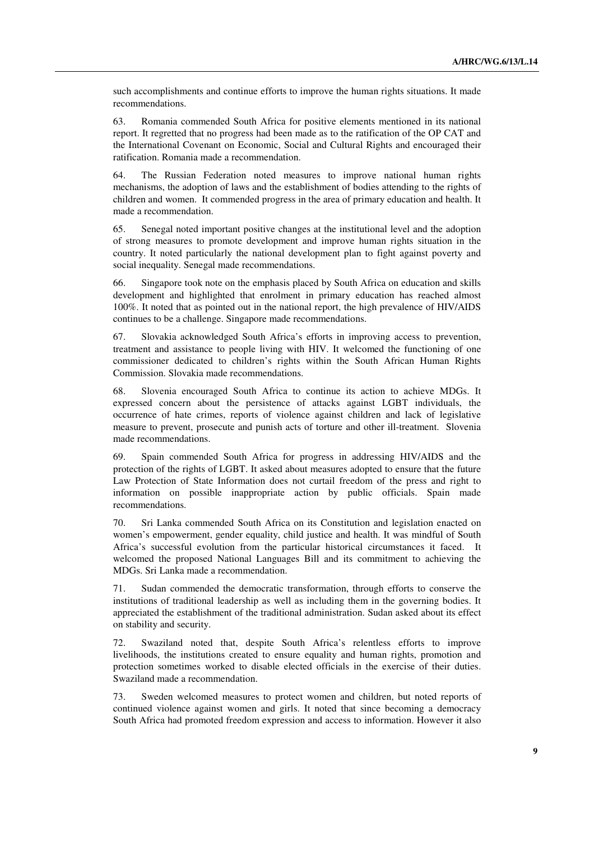such accomplishments and continue efforts to improve the human rights situations. It made recommendations.

63. Romania commended South Africa for positive elements mentioned in its national report. It regretted that no progress had been made as to the ratification of the OP CAT and the International Covenant on Economic, Social and Cultural Rights and encouraged their ratification. Romania made a recommendation.

64. The Russian Federation noted measures to improve national human rights mechanisms, the adoption of laws and the establishment of bodies attending to the rights of children and women. It commended progress in the area of primary education and health. It made a recommendation.

65. Senegal noted important positive changes at the institutional level and the adoption of strong measures to promote development and improve human rights situation in the country. It noted particularly the national development plan to fight against poverty and social inequality. Senegal made recommendations.

66. Singapore took note on the emphasis placed by South Africa on education and skills development and highlighted that enrolment in primary education has reached almost 100%. It noted that as pointed out in the national report, the high prevalence of HIV/AIDS continues to be a challenge. Singapore made recommendations.

67. Slovakia acknowledged South Africa's efforts in improving access to prevention, treatment and assistance to people living with HIV. It welcomed the functioning of one commissioner dedicated to children's rights within the South African Human Rights Commission. Slovakia made recommendations.

68. Slovenia encouraged South Africa to continue its action to achieve MDGs. It expressed concern about the persistence of attacks against LGBT individuals, the occurrence of hate crimes, reports of violence against children and lack of legislative measure to prevent, prosecute and punish acts of torture and other ill-treatment. Slovenia made recommendations.

69. Spain commended South Africa for progress in addressing HIV/AIDS and the protection of the rights of LGBT. It asked about measures adopted to ensure that the future Law Protection of State Information does not curtail freedom of the press and right to information on possible inappropriate action by public officials. Spain made recommendations.

70. Sri Lanka commended South Africa on its Constitution and legislation enacted on women's empowerment, gender equality, child justice and health. It was mindful of South Africa's successful evolution from the particular historical circumstances it faced. It welcomed the proposed National Languages Bill and its commitment to achieving the MDGs. Sri Lanka made a recommendation.

71. Sudan commended the democratic transformation, through efforts to conserve the institutions of traditional leadership as well as including them in the governing bodies. It appreciated the establishment of the traditional administration. Sudan asked about its effect on stability and security.

72. Swaziland noted that, despite South Africa's relentless efforts to improve livelihoods, the institutions created to ensure equality and human rights, promotion and protection sometimes worked to disable elected officials in the exercise of their duties. Swaziland made a recommendation.

73. Sweden welcomed measures to protect women and children, but noted reports of continued violence against women and girls. It noted that since becoming a democracy South Africa had promoted freedom expression and access to information. However it also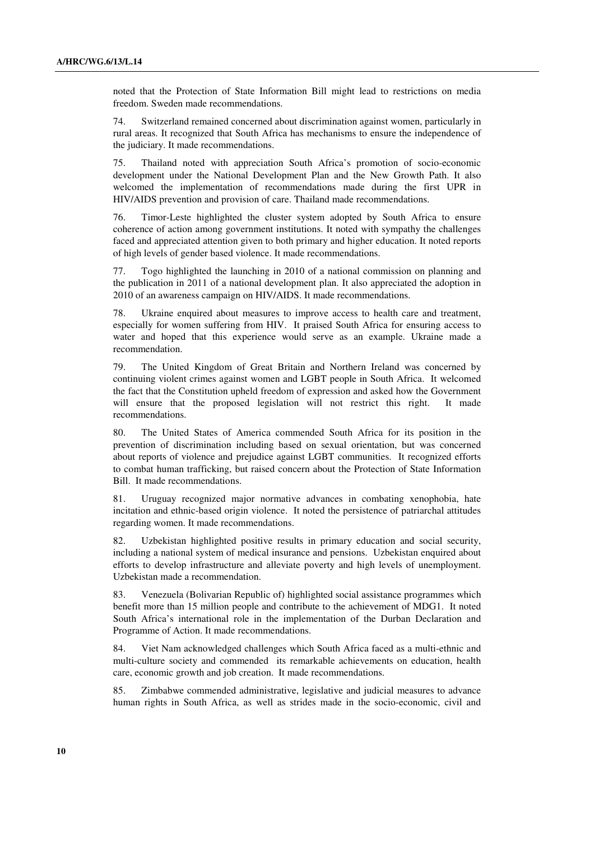noted that the Protection of State Information Bill might lead to restrictions on media freedom. Sweden made recommendations.

74. Switzerland remained concerned about discrimination against women, particularly in rural areas. It recognized that South Africa has mechanisms to ensure the independence of the judiciary. It made recommendations.

75. Thailand noted with appreciation South Africa's promotion of socio-economic development under the National Development Plan and the New Growth Path. It also welcomed the implementation of recommendations made during the first UPR in HIV/AIDS prevention and provision of care. Thailand made recommendations.

76. Timor-Leste highlighted the cluster system adopted by South Africa to ensure coherence of action among government institutions. It noted with sympathy the challenges faced and appreciated attention given to both primary and higher education. It noted reports of high levels of gender based violence. It made recommendations.

77. Togo highlighted the launching in 2010 of a national commission on planning and the publication in 2011 of a national development plan. It also appreciated the adoption in 2010 of an awareness campaign on HIV/AIDS. It made recommendations.

78. Ukraine enquired about measures to improve access to health care and treatment, especially for women suffering from HIV. It praised South Africa for ensuring access to water and hoped that this experience would serve as an example. Ukraine made a recommendation.

79. The United Kingdom of Great Britain and Northern Ireland was concerned by continuing violent crimes against women and LGBT people in South Africa. It welcomed the fact that the Constitution upheld freedom of expression and asked how the Government will ensure that the proposed legislation will not restrict this right. It made recommendations.

80. The United States of America commended South Africa for its position in the prevention of discrimination including based on sexual orientation, but was concerned about reports of violence and prejudice against LGBT communities. It recognized efforts to combat human trafficking, but raised concern about the Protection of State Information Bill. It made recommendations.

81. Uruguay recognized major normative advances in combating xenophobia, hate incitation and ethnic-based origin violence. It noted the persistence of patriarchal attitudes regarding women. It made recommendations.

82. Uzbekistan highlighted positive results in primary education and social security, including a national system of medical insurance and pensions. Uzbekistan enquired about efforts to develop infrastructure and alleviate poverty and high levels of unemployment. Uzbekistan made a recommendation.

83. Venezuela (Bolivarian Republic of) highlighted social assistance programmes which benefit more than 15 million people and contribute to the achievement of MDG1. It noted South Africa's international role in the implementation of the Durban Declaration and Programme of Action. It made recommendations.

84. Viet Nam acknowledged challenges which South Africa faced as a multi-ethnic and multi-culture society and commended its remarkable achievements on education, health care, economic growth and job creation. It made recommendations.

85. Zimbabwe commended administrative, legislative and judicial measures to advance human rights in South Africa, as well as strides made in the socio-economic, civil and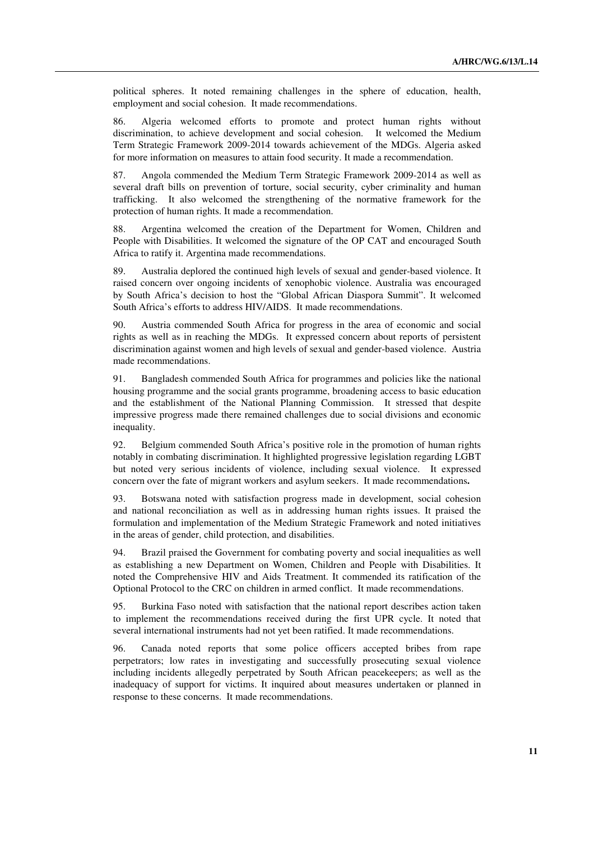political spheres. It noted remaining challenges in the sphere of education, health, employment and social cohesion. It made recommendations.

86. Algeria welcomed efforts to promote and protect human rights without discrimination, to achieve development and social cohesion. It welcomed the Medium Term Strategic Framework 2009-2014 towards achievement of the MDGs. Algeria asked for more information on measures to attain food security. It made a recommendation.

87. Angola commended the Medium Term Strategic Framework 2009-2014 as well as several draft bills on prevention of torture, social security, cyber criminality and human trafficking. It also welcomed the strengthening of the normative framework for the protection of human rights. It made a recommendation.

88. Argentina welcomed the creation of the Department for Women, Children and People with Disabilities. It welcomed the signature of the OP CAT and encouraged South Africa to ratify it. Argentina made recommendations.

89. Australia deplored the continued high levels of sexual and gender-based violence. It raised concern over ongoing incidents of xenophobic violence. Australia was encouraged by South Africa's decision to host the "Global African Diaspora Summit". It welcomed South Africa's efforts to address HIV/AIDS. It made recommendations.

90. Austria commended South Africa for progress in the area of economic and social rights as well as in reaching the MDGs. It expressed concern about reports of persistent discrimination against women and high levels of sexual and gender-based violence. Austria made recommendations.

91. Bangladesh commended South Africa for programmes and policies like the national housing programme and the social grants programme, broadening access to basic education and the establishment of the National Planning Commission. It stressed that despite impressive progress made there remained challenges due to social divisions and economic inequality.

92. Belgium commended South Africa's positive role in the promotion of human rights notably in combating discrimination. It highlighted progressive legislation regarding LGBT but noted very serious incidents of violence, including sexual violence. It expressed concern over the fate of migrant workers and asylum seekers. It made recommendations**.** 

93. Botswana noted with satisfaction progress made in development, social cohesion and national reconciliation as well as in addressing human rights issues. It praised the formulation and implementation of the Medium Strategic Framework and noted initiatives in the areas of gender, child protection, and disabilities.

94. Brazil praised the Government for combating poverty and social inequalities as well as establishing a new Department on Women, Children and People with Disabilities. It noted the Comprehensive HIV and Aids Treatment. It commended its ratification of the Optional Protocol to the CRC on children in armed conflict. It made recommendations.

95. Burkina Faso noted with satisfaction that the national report describes action taken to implement the recommendations received during the first UPR cycle. It noted that several international instruments had not yet been ratified. It made recommendations.

96. Canada noted reports that some police officers accepted bribes from rape perpetrators; low rates in investigating and successfully prosecuting sexual violence including incidents allegedly perpetrated by South African peacekeepers; as well as the inadequacy of support for victims. It inquired about measures undertaken or planned in response to these concerns. It made recommendations.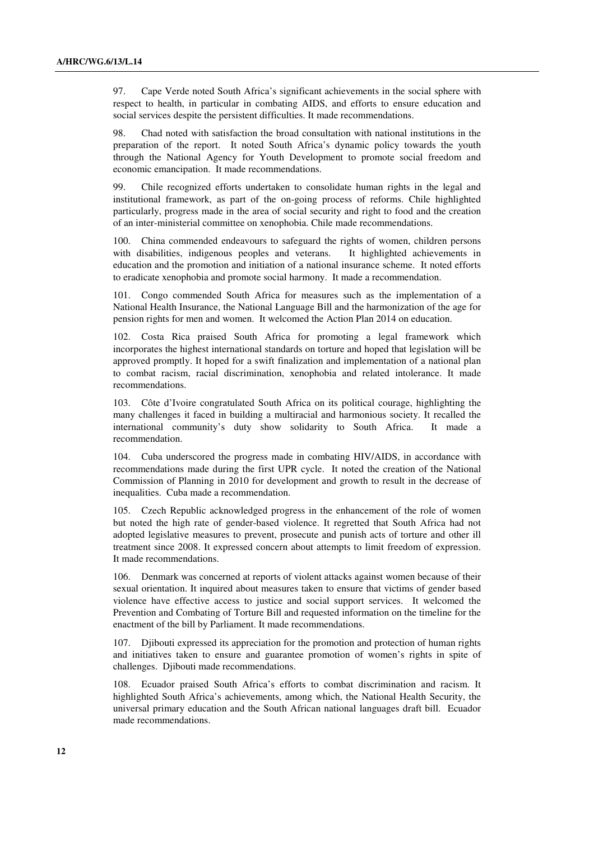97. Cape Verde noted South Africa's significant achievements in the social sphere with respect to health, in particular in combating AIDS, and efforts to ensure education and social services despite the persistent difficulties. It made recommendations.

98. Chad noted with satisfaction the broad consultation with national institutions in the preparation of the report. It noted South Africa's dynamic policy towards the youth through the National Agency for Youth Development to promote social freedom and economic emancipation. It made recommendations.

99. Chile recognized efforts undertaken to consolidate human rights in the legal and institutional framework, as part of the on-going process of reforms. Chile highlighted particularly, progress made in the area of social security and right to food and the creation of an inter-ministerial committee on xenophobia. Chile made recommendations.

100. China commended endeavours to safeguard the rights of women, children persons with disabilities, indigenous peoples and veterans. It highlighted achievements in education and the promotion and initiation of a national insurance scheme. It noted efforts to eradicate xenophobia and promote social harmony. It made a recommendation.

101. Congo commended South Africa for measures such as the implementation of a National Health Insurance, the National Language Bill and the harmonization of the age for pension rights for men and women. It welcomed the Action Plan 2014 on education.

102. Costa Rica praised South Africa for promoting a legal framework which incorporates the highest international standards on torture and hoped that legislation will be approved promptly. It hoped for a swift finalization and implementation of a national plan to combat racism, racial discrimination, xenophobia and related intolerance. It made recommendations.

103. Côte d'Ivoire congratulated South Africa on its political courage, highlighting the many challenges it faced in building a multiracial and harmonious society. It recalled the international community's duty show solidarity to South Africa. It made a recommendation.

104. Cuba underscored the progress made in combating HIV/AIDS, in accordance with recommendations made during the first UPR cycle. It noted the creation of the National Commission of Planning in 2010 for development and growth to result in the decrease of inequalities. Cuba made a recommendation.

105. Czech Republic acknowledged progress in the enhancement of the role of women but noted the high rate of gender-based violence. It regretted that South Africa had not adopted legislative measures to prevent, prosecute and punish acts of torture and other ill treatment since 2008. It expressed concern about attempts to limit freedom of expression. It made recommendations.

106. Denmark was concerned at reports of violent attacks against women because of their sexual orientation. It inquired about measures taken to ensure that victims of gender based violence have effective access to justice and social support services. It welcomed the Prevention and Combating of Torture Bill and requested information on the timeline for the enactment of the bill by Parliament. It made recommendations.

107. Djibouti expressed its appreciation for the promotion and protection of human rights and initiatives taken to ensure and guarantee promotion of women's rights in spite of challenges. Djibouti made recommendations.

108. Ecuador praised South Africa's efforts to combat discrimination and racism. It highlighted South Africa's achievements, among which, the National Health Security, the universal primary education and the South African national languages draft bill. Ecuador made recommendations.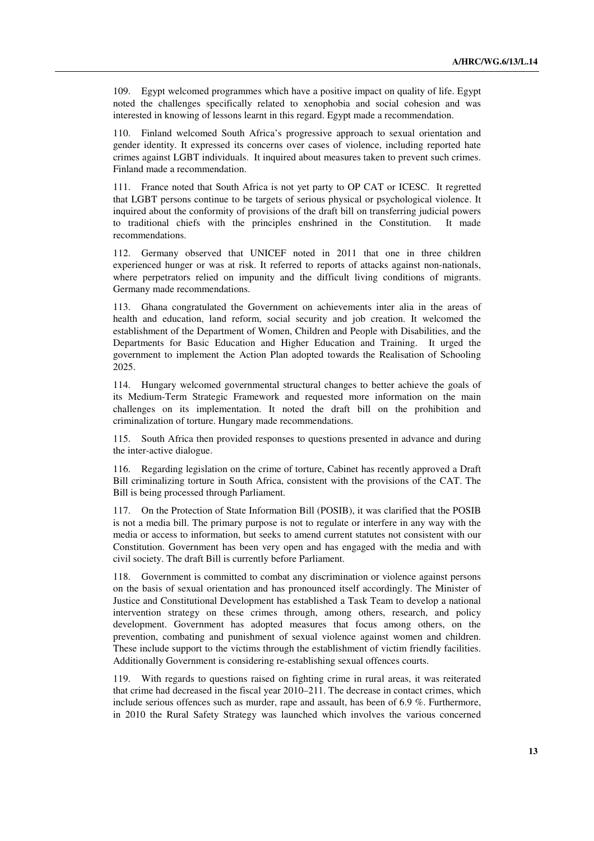109. Egypt welcomed programmes which have a positive impact on quality of life. Egypt noted the challenges specifically related to xenophobia and social cohesion and was interested in knowing of lessons learnt in this regard. Egypt made a recommendation.

110. Finland welcomed South Africa's progressive approach to sexual orientation and gender identity. It expressed its concerns over cases of violence, including reported hate crimes against LGBT individuals. It inquired about measures taken to prevent such crimes. Finland made a recommendation.

111. France noted that South Africa is not yet party to OP CAT or ICESC. It regretted that LGBT persons continue to be targets of serious physical or psychological violence. It inquired about the conformity of provisions of the draft bill on transferring judicial powers to traditional chiefs with the principles enshrined in the Constitution. It made recommendations.

112. Germany observed that UNICEF noted in 2011 that one in three children experienced hunger or was at risk. It referred to reports of attacks against non-nationals, where perpetrators relied on impunity and the difficult living conditions of migrants. Germany made recommendations.

113. Ghana congratulated the Government on achievements inter alia in the areas of health and education, land reform, social security and job creation. It welcomed the establishment of the Department of Women, Children and People with Disabilities, and the Departments for Basic Education and Higher Education and Training. It urged the government to implement the Action Plan adopted towards the Realisation of Schooling 2025.

114. Hungary welcomed governmental structural changes to better achieve the goals of its Medium-Term Strategic Framework and requested more information on the main challenges on its implementation. It noted the draft bill on the prohibition and criminalization of torture. Hungary made recommendations.

115. South Africa then provided responses to questions presented in advance and during the inter-active dialogue.

116. Regarding legislation on the crime of torture, Cabinet has recently approved a Draft Bill criminalizing torture in South Africa, consistent with the provisions of the CAT. The Bill is being processed through Parliament.

117. On the Protection of State Information Bill (POSIB), it was clarified that the POSIB is not a media bill. The primary purpose is not to regulate or interfere in any way with the media or access to information, but seeks to amend current statutes not consistent with our Constitution. Government has been very open and has engaged with the media and with civil society. The draft Bill is currently before Parliament.

118. Government is committed to combat any discrimination or violence against persons on the basis of sexual orientation and has pronounced itself accordingly. The Minister of Justice and Constitutional Development has established a Task Team to develop a national intervention strategy on these crimes through, among others, research, and policy development. Government has adopted measures that focus among others, on the prevention, combating and punishment of sexual violence against women and children. These include support to the victims through the establishment of victim friendly facilities. Additionally Government is considering re-establishing sexual offences courts.

119. With regards to questions raised on fighting crime in rural areas, it was reiterated that crime had decreased in the fiscal year 2010–211. The decrease in contact crimes, which include serious offences such as murder, rape and assault, has been of 6.9 %. Furthermore, in 2010 the Rural Safety Strategy was launched which involves the various concerned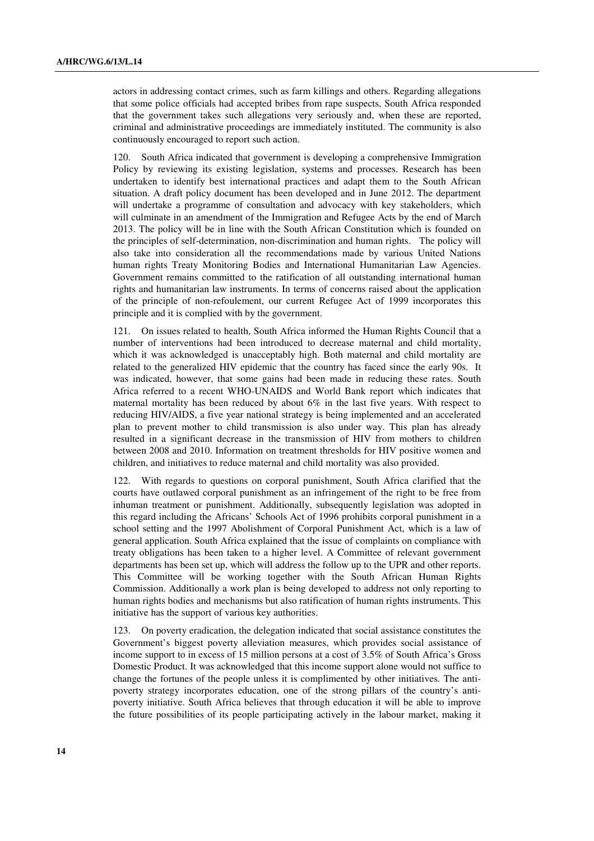actors in addressing contact crimes, such as farm killings and others. Regarding allegations that some police officials had accepted bribes from rape suspects, South Africa responded that the government takes such allegations very seriously and, when these are reported, criminal and administrative proceedings are immediately instituted. The community is also continuously encouraged to report such action.

120. South Africa indicated that government is developing a comprehensive Immigration Policy by reviewing its existing legislation, systems and processes. Research has been undertaken to identify best international practices and adapt them to the South African situation. A draft policy document has been developed and in June 2012. The department will undertake a programme of consultation and advocacy with key stakeholders, which will culminate in an amendment of the Immigration and Refugee Acts by the end of March 2013. The policy will be in line with the South African Constitution which is founded on the principles of self-determination, non-discrimination and human rights. The policy will also take into consideration all the recommendations made by various United Nations human rights Treaty Monitoring Bodies and International Humanitarian Law Agencies. Government remains committed to the ratification of all outstanding international human rights and humanitarian law instruments. In terms of concerns raised about the application of the principle of non-refoulement, our current Refugee Act of 1999 incorporates this principle and it is complied with by the government.

121. On issues related to health, South Africa informed the Human Rights Council that a number of interventions had been introduced to decrease maternal and child mortality, which it was acknowledged is unacceptably high. Both maternal and child mortality are related to the generalized HIV epidemic that the country has faced since the early 90s. It was indicated, however, that some gains had been made in reducing these rates. South Africa referred to a recent WHO-UNAIDS and World Bank report which indicates that maternal mortality has been reduced by about  $6\%$  in the last five years. With respect to reducing HIV/AIDS, a five year national strategy is being implemented and an accelerated plan to prevent mother to child transmission is also under way. This plan has already resulted in a significant decrease in the transmission of HIV from mothers to children between 2008 and 2010. Information on treatment thresholds for HIV positive women and children, and initiatives to reduce maternal and child mortality was also provided.

122. With regards to questions on corporal punishment, South Africa clarified that the courts have outlawed corporal punishment as an infringement of the right to be free from inhuman treatment or punishment. Additionally, subsequently legislation was adopted in this regard including the Africans' Schools Act of 1996 prohibits corporal punishment in a school setting and the 1997 Abolishment of Corporal Punishment Act, which is a law of general application. South Africa explained that the issue of complaints on compliance with treaty obligations has been taken to a higher level. A Committee of relevant government departments has been set up, which will address the follow up to the UPR and other reports. This Committee will be working together with the South African Human Rights Commission. Additionally a work plan is being developed to address not only reporting to human rights bodies and mechanisms but also ratification of human rights instruments. This initiative has the support of various key authorities.

123. On poverty eradication, the delegation indicated that social assistance constitutes the Government's biggest poverty alleviation measures, which provides social assistance of income support to in excess of 15 million persons at a cost of 3.5% of South Africa's Gross Domestic Product. It was acknowledged that this income support alone would not suffice to change the fortunes of the people unless it is complimented by other initiatives. The antipoverty strategy incorporates education, one of the strong pillars of the country's antipoverty initiative. South Africa believes that through education it will be able to improve the future possibilities of its people participating actively in the labour market, making it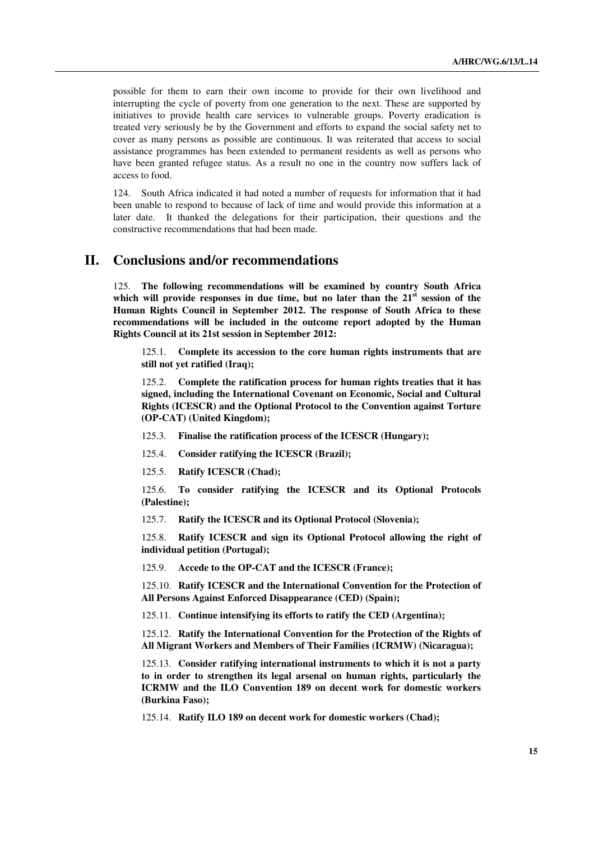possible for them to earn their own income to provide for their own livelihood and interrupting the cycle of poverty from one generation to the next. These are supported by initiatives to provide health care services to vulnerable groups. Poverty eradication is treated very seriously be by the Government and efforts to expand the social safety net to cover as many persons as possible are continuous. It was reiterated that access to social assistance programmes has been extended to permanent residents as well as persons who have been granted refugee status. As a result no one in the country now suffers lack of access to food.

124. South Africa indicated it had noted a number of requests for information that it had been unable to respond to because of lack of time and would provide this information at a later date. It thanked the delegations for their participation, their questions and the constructive recommendations that had been made.

## **II. Conclusions and/or recommendations**

125. **The following recommendations will be examined by country South Africa which will provide responses in due time, but no later than the 21st session of the Human Rights Council in September 2012. The response of South Africa to these recommendations will be included in the outcome report adopted by the Human Rights Council at its 21st session in September 2012:**

 125.1. **Complete its accession to the core human rights instruments that are still not yet ratified (Iraq);** 

 125.2. **Complete the ratification process for human rights treaties that it has signed, including the International Covenant on Economic, Social and Cultural Rights (ICESCR) and the Optional Protocol to the Convention against Torture (OP-CAT) (United Kingdom);** 

- 125.3. **Finalise the ratification process of the ICESCR (Hungary);**
- 125.4. **Consider ratifying the ICESCR (Brazil);**
- 125.5. **Ratify ICESCR (Chad);**

 125.6. **To consider ratifying the ICESCR and its Optional Protocols (Palestine);** 

125.7. **Ratify the ICESCR and its Optional Protocol (Slovenia);** 

 125.8. **Ratify ICESCR and sign its Optional Protocol allowing the right of individual petition (Portugal);** 

125.9. **Accede to the OP-CAT and the ICESCR (France);** 

 125.10. **Ratify ICESCR and the International Convention for the Protection of All Persons Against Enforced Disappearance (CED) (Spain);** 

125.11. **Continue intensifying its efforts to ratify the CED (Argentina);** 

 125.12. **Ratify the International Convention for the Protection of the Rights of All Migrant Workers and Members of Their Families (ICRMW) (Nicaragua);** 

 125.13. **Consider ratifying international instruments to which it is not a party to in order to strengthen its legal arsenal on human rights, particularly the ICRMW and the ILO Convention 189 on decent work for domestic workers (Burkina Faso);** 

125.14. **Ratify ILO 189 on decent work for domestic workers (Chad);**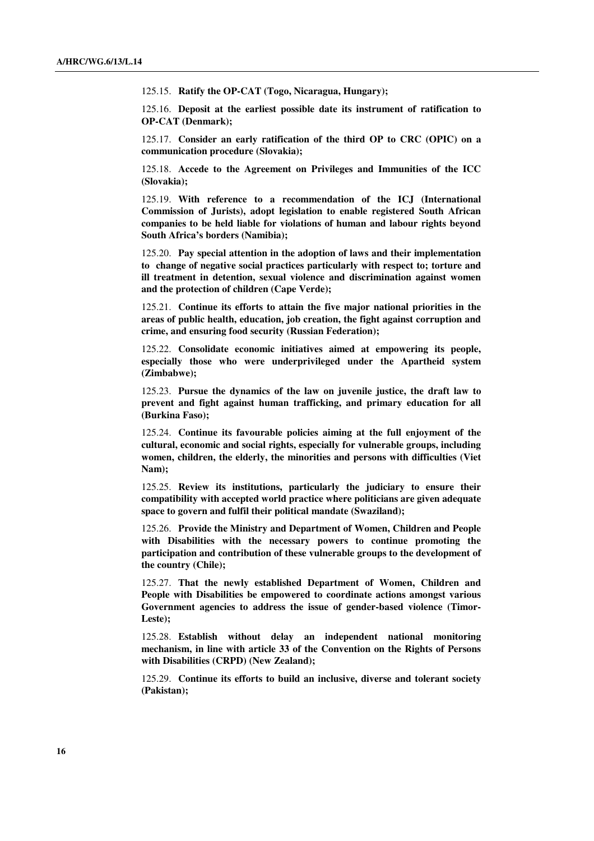125.15. **Ratify the OP-CAT (Togo, Nicaragua, Hungary);** 

 125.16. **Deposit at the earliest possible date its instrument of ratification to OP-CAT (Denmark);** 

 125.17. **Consider an early ratification of the third OP to CRC (OPIC) on a communication procedure (Slovakia);** 

 125.18. **Accede to the Agreement on Privileges and Immunities of the ICC (Slovakia);** 

 125.19. **With reference to a recommendation of the ICJ (International Commission of Jurists), adopt legislation to enable registered South African companies to be held liable for violations of human and labour rights beyond South Africa's borders (Namibia);** 

 125.20. **Pay special attention in the adoption of laws and their implementation to change of negative social practices particularly with respect to; torture and ill treatment in detention, sexual violence and discrimination against women and the protection of children (Cape Verde);** 

 125.21. **Continue its efforts to attain the five major national priorities in the areas of public health, education, job creation, the fight against corruption and crime, and ensuring food security (Russian Federation);** 

 125.22. **Consolidate economic initiatives aimed at empowering its people, especially those who were underprivileged under the Apartheid system (Zimbabwe);** 

 125.23. **Pursue the dynamics of the law on juvenile justice, the draft law to prevent and fight against human trafficking, and primary education for all (Burkina Faso);** 

 125.24. **Continue its favourable policies aiming at the full enjoyment of the cultural, economic and social rights, especially for vulnerable groups, including women, children, the elderly, the minorities and persons with difficulties (Viet Nam);** 

 125.25. **Review its institutions, particularly the judiciary to ensure their compatibility with accepted world practice where politicians are given adequate space to govern and fulfil their political mandate (Swaziland);** 

 125.26. **Provide the Ministry and Department of Women, Children and People with Disabilities with the necessary powers to continue promoting the participation and contribution of these vulnerable groups to the development of the country (Chile);** 

 125.27. **That the newly established Department of Women, Children and People with Disabilities be empowered to coordinate actions amongst various Government agencies to address the issue of gender-based violence (Timor-Leste);** 

 125.28. **Establish without delay an independent national monitoring mechanism, in line with article 33 of the Convention on the Rights of Persons with Disabilities (CRPD) (New Zealand);** 

 125.29. **Continue its efforts to build an inclusive, diverse and tolerant society (Pakistan);**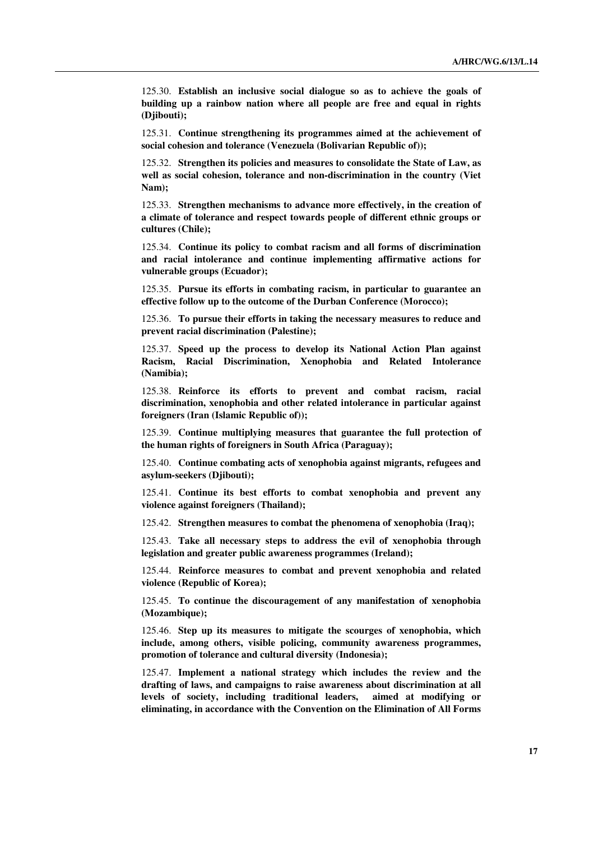125.30. **Establish an inclusive social dialogue so as to achieve the goals of building up a rainbow nation where all people are free and equal in rights (Djibouti);** 

 125.31. **Continue strengthening its programmes aimed at the achievement of social cohesion and tolerance (Venezuela (Bolivarian Republic of));** 

 125.32. **Strengthen its policies and measures to consolidate the State of Law, as well as social cohesion, tolerance and non-discrimination in the country (Viet Nam);** 

 125.33. **Strengthen mechanisms to advance more effectively, in the creation of a climate of tolerance and respect towards people of different ethnic groups or cultures (Chile);** 

 125.34. **Continue its policy to combat racism and all forms of discrimination and racial intolerance and continue implementing affirmative actions for vulnerable groups (Ecuador);** 

 125.35. **Pursue its efforts in combating racism, in particular to guarantee an effective follow up to the outcome of the Durban Conference (Morocco);** 

 125.36. **To pursue their efforts in taking the necessary measures to reduce and prevent racial discrimination (Palestine);** 

 125.37. **Speed up the process to develop its National Action Plan against Racism, Racial Discrimination, Xenophobia and Related Intolerance (Namibia);** 

 125.38. **Reinforce its efforts to prevent and combat racism, racial discrimination, xenophobia and other related intolerance in particular against foreigners (Iran (Islamic Republic of));** 

 125.39. **Continue multiplying measures that guarantee the full protection of the human rights of foreigners in South Africa (Paraguay);** 

 125.40. **Continue combating acts of xenophobia against migrants, refugees and asylum-seekers (Djibouti);** 

 125.41. **Continue its best efforts to combat xenophobia and prevent any violence against foreigners (Thailand);** 

125.42. **Strengthen measures to combat the phenomena of xenophobia (Iraq);** 

 125.43. **Take all necessary steps to address the evil of xenophobia through legislation and greater public awareness programmes (Ireland);** 

 125.44. **Reinforce measures to combat and prevent xenophobia and related violence (Republic of Korea);** 

 125.45. **To continue the discouragement of any manifestation of xenophobia (Mozambique);** 

 125.46. **Step up its measures to mitigate the scourges of xenophobia, which include, among others, visible policing, community awareness programmes, promotion of tolerance and cultural diversity (Indonesia);** 

 125.47. **Implement a national strategy which includes the review and the drafting of laws, and campaigns to raise awareness about discrimination at all levels of society, including traditional leaders, aimed at modifying or eliminating, in accordance with the Convention on the Elimination of All Forms**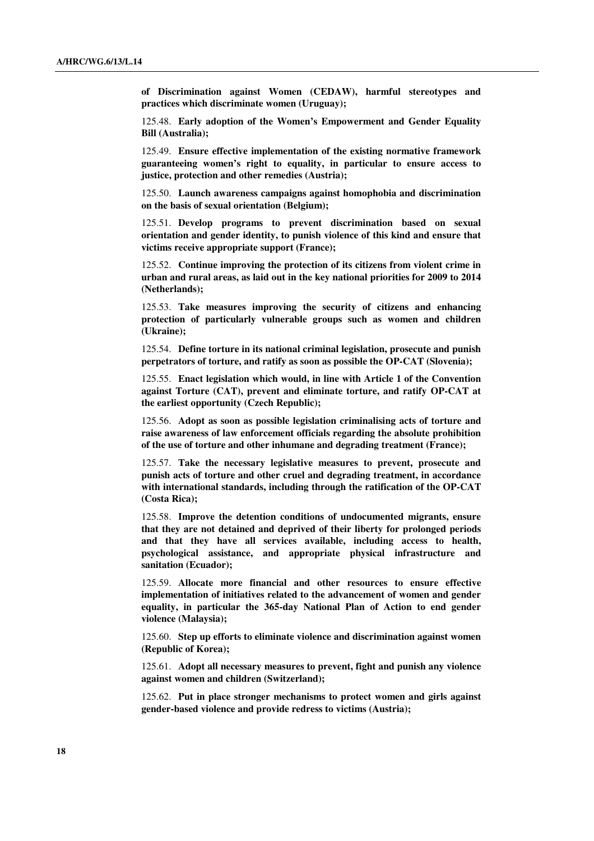**of Discrimination against Women (CEDAW), harmful stereotypes and practices which discriminate women (Uruguay);** 

 125.48. **Early adoption of the Women's Empowerment and Gender Equality Bill (Australia);** 

 125.49. **Ensure effective implementation of the existing normative framework guaranteeing women's right to equality, in particular to ensure access to justice, protection and other remedies (Austria);** 

 125.50. **Launch awareness campaigns against homophobia and discrimination on the basis of sexual orientation (Belgium);** 

 125.51. **Develop programs to prevent discrimination based on sexual orientation and gender identity, to punish violence of this kind and ensure that victims receive appropriate support (France);** 

 125.52. **Continue improving the protection of its citizens from violent crime in urban and rural areas, as laid out in the key national priorities for 2009 to 2014 (Netherlands);** 

 125.53. **Take measures improving the security of citizens and enhancing protection of particularly vulnerable groups such as women and children (Ukraine);** 

 125.54. **Define torture in its national criminal legislation, prosecute and punish perpetrators of torture, and ratify as soon as possible the OP-CAT (Slovenia);** 

 125.55. **Enact legislation which would, in line with Article 1 of the Convention against Torture (CAT), prevent and eliminate torture, and ratify OP-CAT at the earliest opportunity (Czech Republic);** 

 125.56. **Adopt as soon as possible legislation criminalising acts of torture and raise awareness of law enforcement officials regarding the absolute prohibition of the use of torture and other inhumane and degrading treatment (France);** 

 125.57. **Take the necessary legislative measures to prevent, prosecute and punish acts of torture and other cruel and degrading treatment, in accordance with international standards, including through the ratification of the OP-CAT (Costa Rica);** 

 125.58. **Improve the detention conditions of undocumented migrants, ensure that they are not detained and deprived of their liberty for prolonged periods and that they have all services available, including access to health, psychological assistance, and appropriate physical infrastructure and sanitation (Ecuador);** 

 125.59. **Allocate more financial and other resources to ensure effective implementation of initiatives related to the advancement of women and gender equality, in particular the 365-day National Plan of Action to end gender violence (Malaysia);** 

 125.60. **Step up efforts to eliminate violence and discrimination against women (Republic of Korea);** 

 125.61. **Adopt all necessary measures to prevent, fight and punish any violence against women and children (Switzerland);** 

 125.62. **Put in place stronger mechanisms to protect women and girls against gender-based violence and provide redress to victims (Austria);**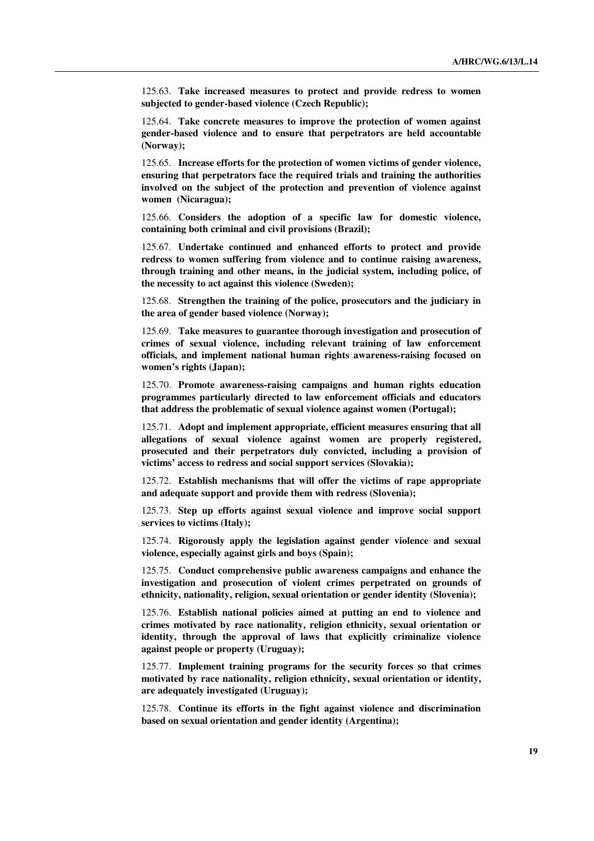125.63. **Take increased measures to protect and provide redress to women subjected to gender-based violence (Czech Republic);** 

 125.64. **Take concrete measures to improve the protection of women against gender-based violence and to ensure that perpetrators are held accountable (Norway);** 

 125.65. **Increase efforts for the protection of women victims of gender violence, ensuring that perpetrators face the required trials and training the authorities involved on the subject of the protection and prevention of violence against women (Nicaragua);** 

 125.66. **Considers the adoption of a specific law for domestic violence, containing both criminal and civil provisions (Brazil);** 

 125.67. **Undertake continued and enhanced efforts to protect and provide redress to women suffering from violence and to continue raising awareness, through training and other means, in the judicial system, including police, of the necessity to act against this violence (Sweden);** 

 125.68. **Strengthen the training of the police, prosecutors and the judiciary in the area of gender based violence (Norway);** 

 125.69. **Take measures to guarantee thorough investigation and prosecution of crimes of sexual violence, including relevant training of law enforcement officials, and implement national human rights awareness-raising focused on women's rights (Japan);** 

 125.70. **Promote awareness-raising campaigns and human rights education programmes particularly directed to law enforcement officials and educators that address the problematic of sexual violence against women (Portugal);** 

 125.71. **Adopt and implement appropriate, efficient measures ensuring that all allegations of sexual violence against women are properly registered, prosecuted and their perpetrators duly convicted, including a provision of victims' access to redress and social support services (Slovakia);** 

 125.72. **Establish mechanisms that will offer the victims of rape appropriate and adequate support and provide them with redress (Slovenia);** 

 125.73. **Step up efforts against sexual violence and improve social support services to victims (Italy);** 

 125.74. **Rigorously apply the legislation against gender violence and sexual violence, especially against girls and boys (Spain);** 

 125.75. **Conduct comprehensive public awareness campaigns and enhance the investigation and prosecution of violent crimes perpetrated on grounds of ethnicity, nationality, religion, sexual orientation or gender identity (Slovenia);** 

 125.76. **Establish national policies aimed at putting an end to violence and crimes motivated by race nationality, religion ethnicity, sexual orientation or identity, through the approval of laws that explicitly criminalize violence against people or property (Uruguay);** 

 125.77. **Implement training programs for the security forces so that crimes motivated by race nationality, religion ethnicity, sexual orientation or identity, are adequately investigated (Uruguay);** 

 125.78. **Continue its efforts in the fight against violence and discrimination based on sexual orientation and gender identity (Argentina);**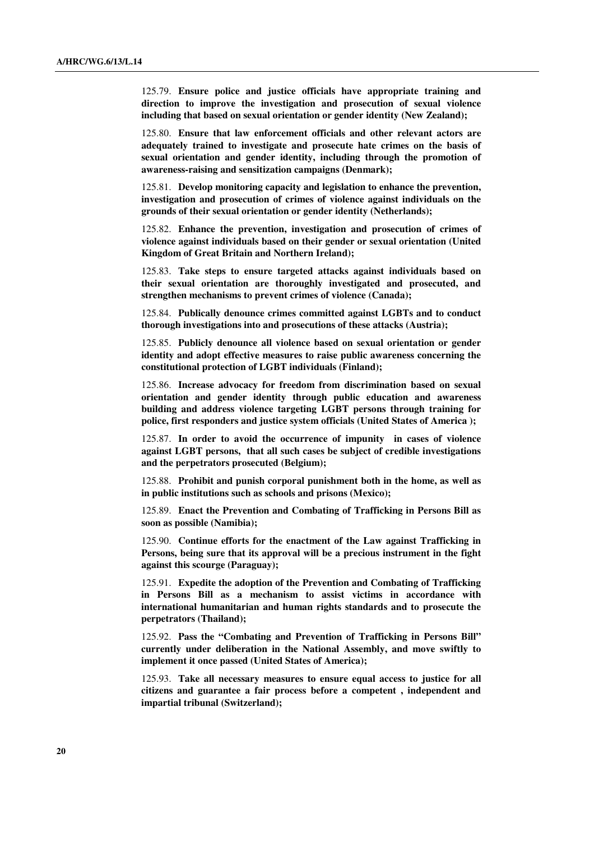125.79. **Ensure police and justice officials have appropriate training and direction to improve the investigation and prosecution of sexual violence including that based on sexual orientation or gender identity (New Zealand);** 

 125.80. **Ensure that law enforcement officials and other relevant actors are adequately trained to investigate and prosecute hate crimes on the basis of sexual orientation and gender identity, including through the promotion of awareness-raising and sensitization campaigns (Denmark);** 

 125.81. **Develop monitoring capacity and legislation to enhance the prevention, investigation and prosecution of crimes of violence against individuals on the grounds of their sexual orientation or gender identity (Netherlands);** 

 125.82. **Enhance the prevention, investigation and prosecution of crimes of violence against individuals based on their gender or sexual orientation (United Kingdom of Great Britain and Northern Ireland);** 

 125.83. **Take steps to ensure targeted attacks against individuals based on their sexual orientation are thoroughly investigated and prosecuted, and strengthen mechanisms to prevent crimes of violence (Canada);** 

 125.84. **Publically denounce crimes committed against LGBTs and to conduct thorough investigations into and prosecutions of these attacks (Austria);** 

 125.85. **Publicly denounce all violence based on sexual orientation or gender identity and adopt effective measures to raise public awareness concerning the constitutional protection of LGBT individuals (Finland);** 

 125.86. **Increase advocacy for freedom from discrimination based on sexual orientation and gender identity through public education and awareness building and address violence targeting LGBT persons through training for police, first responders and justice system officials (United States of America );** 

 125.87. **In order to avoid the occurrence of impunity in cases of violence against LGBT persons, that all such cases be subject of credible investigations and the perpetrators prosecuted (Belgium);** 

 125.88. **Prohibit and punish corporal punishment both in the home, as well as in public institutions such as schools and prisons (Mexico);** 

 125.89. **Enact the Prevention and Combating of Trafficking in Persons Bill as soon as possible (Namibia);** 

 125.90. **Continue efforts for the enactment of the Law against Trafficking in Persons, being sure that its approval will be a precious instrument in the fight against this scourge (Paraguay);** 

 125.91. **Expedite the adoption of the Prevention and Combating of Trafficking in Persons Bill as a mechanism to assist victims in accordance with international humanitarian and human rights standards and to prosecute the perpetrators (Thailand);** 

 125.92. **Pass the "Combating and Prevention of Trafficking in Persons Bill" currently under deliberation in the National Assembly, and move swiftly to implement it once passed (United States of America);** 

 125.93. **Take all necessary measures to ensure equal access to justice for all citizens and guarantee a fair process before a competent , independent and impartial tribunal (Switzerland);**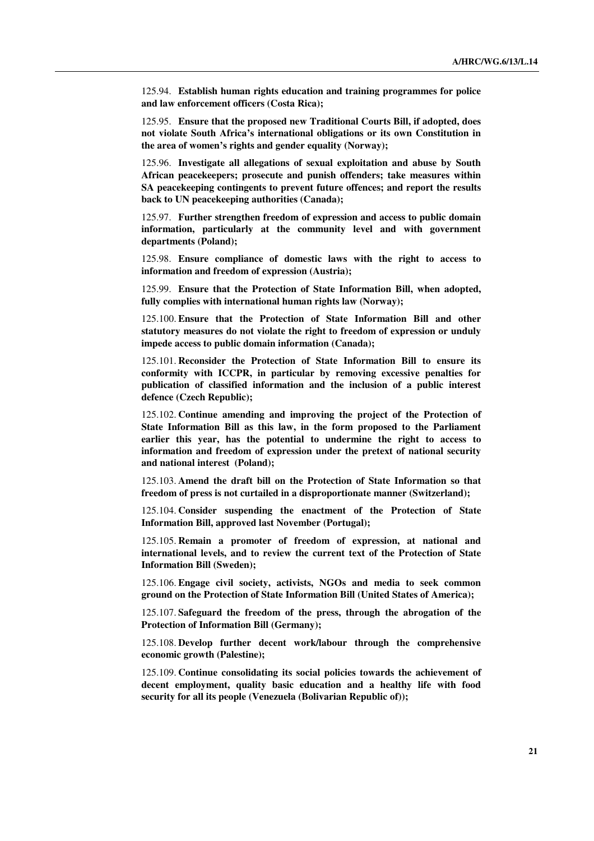125.94. **Establish human rights education and training programmes for police and law enforcement officers (Costa Rica);** 

 125.95. **Ensure that the proposed new Traditional Courts Bill, if adopted, does not violate South Africa's international obligations or its own Constitution in the area of women's rights and gender equality (Norway);** 

 125.96. **Investigate all allegations of sexual exploitation and abuse by South African peacekeepers; prosecute and punish offenders; take measures within SA peacekeeping contingents to prevent future offences; and report the results back to UN peacekeeping authorities (Canada);** 

 125.97. **Further strengthen freedom of expression and access to public domain information, particularly at the community level and with government departments (Poland);** 

 125.98. **Ensure compliance of domestic laws with the right to access to information and freedom of expression (Austria);** 

 125.99. **Ensure that the Protection of State Information Bill, when adopted, fully complies with international human rights law (Norway);** 

 125.100. **Ensure that the Protection of State Information Bill and other statutory measures do not violate the right to freedom of expression or unduly impede access to public domain information (Canada);** 

 125.101. **Reconsider the Protection of State Information Bill to ensure its conformity with ICCPR, in particular by removing excessive penalties for publication of classified information and the inclusion of a public interest defence (Czech Republic);** 

 125.102. **Continue amending and improving the project of the Protection of State Information Bill as this law, in the form proposed to the Parliament earlier this year, has the potential to undermine the right to access to information and freedom of expression under the pretext of national security and national interest (Poland);** 

 125.103. **Amend the draft bill on the Protection of State Information so that freedom of press is not curtailed in a disproportionate manner (Switzerland);** 

 125.104. **Consider suspending the enactment of the Protection of State Information Bill, approved last November (Portugal);** 

 125.105. **Remain a promoter of freedom of expression, at national and international levels, and to review the current text of the Protection of State Information Bill (Sweden);** 

 125.106. **Engage civil society, activists, NGOs and media to seek common ground on the Protection of State Information Bill (United States of America);** 

 125.107. **Safeguard the freedom of the press, through the abrogation of the Protection of Information Bill (Germany);**

 125.108. **Develop further decent work/labour through the comprehensive economic growth (Palestine);** 

 125.109. **Continue consolidating its social policies towards the achievement of decent employment, quality basic education and a healthy life with food security for all its people (Venezuela (Bolivarian Republic of));**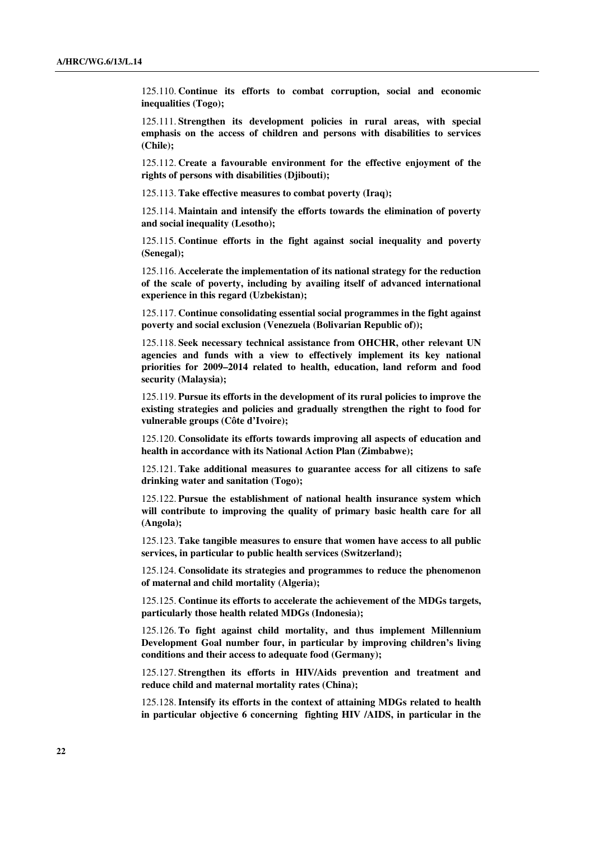125.110. **Continue its efforts to combat corruption, social and economic inequalities (Togo);** 

 125.111. **Strengthen its development policies in rural areas, with special emphasis on the access of children and persons with disabilities to services (Chile);** 

 125.112. **Create a favourable environment for the effective enjoyment of the rights of persons with disabilities (Djibouti);** 

125.113. **Take effective measures to combat poverty (Iraq);** 

 125.114. **Maintain and intensify the efforts towards the elimination of poverty and social inequality (Lesotho);** 

 125.115. **Continue efforts in the fight against social inequality and poverty (Senegal);** 

 125.116. **Accelerate the implementation of its national strategy for the reduction of the scale of poverty, including by availing itself of advanced international experience in this regard (Uzbekistan);** 

 125.117. **Continue consolidating essential social programmes in the fight against poverty and social exclusion (Venezuela (Bolivarian Republic of));** 

 125.118. **Seek necessary technical assistance from OHCHR, other relevant UN agencies and funds with a view to effectively implement its key national priorities for 2009–2014 related to health, education, land reform and food security (Malaysia);** 

 125.119. **Pursue its efforts in the development of its rural policies to improve the existing strategies and policies and gradually strengthen the right to food for vulnerable groups (Côte d'Ivoire);** 

 125.120. **Consolidate its efforts towards improving all aspects of education and health in accordance with its National Action Plan (Zimbabwe);** 

 125.121. **Take additional measures to guarantee access for all citizens to safe drinking water and sanitation (Togo);** 

 125.122. **Pursue the establishment of national health insurance system which will contribute to improving the quality of primary basic health care for all (Angola);** 

 125.123. **Take tangible measures to ensure that women have access to all public services, in particular to public health services (Switzerland);** 

 125.124. **Consolidate its strategies and programmes to reduce the phenomenon of maternal and child mortality (Algeria);** 

 125.125. **Continue its efforts to accelerate the achievement of the MDGs targets, particularly those health related MDGs (Indonesia);**

 125.126. **To fight against child mortality, and thus implement Millennium Development Goal number four, in particular by improving children's living conditions and their access to adequate food (Germany);** 

 125.127. **Strengthen its efforts in HIV/Aids prevention and treatment and reduce child and maternal mortality rates (China);** 

 125.128. **Intensify its efforts in the context of attaining MDGs related to health in particular objective 6 concerning fighting HIV /AIDS, in particular in the**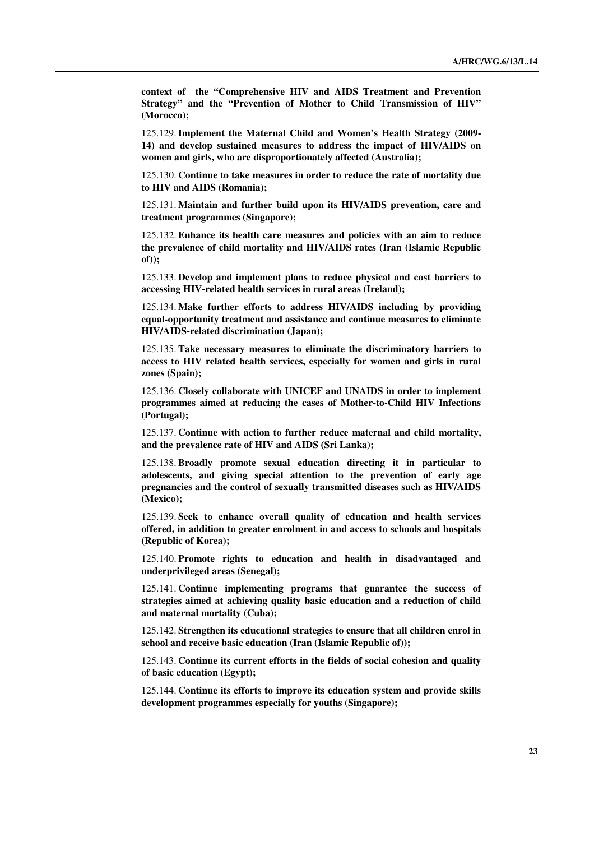**context of the "Comprehensive HIV and AIDS Treatment and Prevention Strategy" and the "Prevention of Mother to Child Transmission of HIV" (Morocco);** 

 125.129. **Implement the Maternal Child and Women's Health Strategy (2009- 14) and develop sustained measures to address the impact of HIV/AIDS on women and girls, who are disproportionately affected (Australia);** 

 125.130. **Continue to take measures in order to reduce the rate of mortality due to HIV and AIDS (Romania);** 

 125.131. **Maintain and further build upon its HIV/AIDS prevention, care and treatment programmes (Singapore);** 

 125.132. **Enhance its health care measures and policies with an aim to reduce the prevalence of child mortality and HIV/AIDS rates (Iran (Islamic Republic of));** 

 125.133. **Develop and implement plans to reduce physical and cost barriers to accessing HIV-related health services in rural areas (Ireland);** 

 125.134. **Make further efforts to address HIV/AIDS including by providing equal-opportunity treatment and assistance and continue measures to eliminate HIV/AIDS-related discrimination (Japan);** 

 125.135. **Take necessary measures to eliminate the discriminatory barriers to access to HIV related health services, especially for women and girls in rural zones (Spain);** 

 125.136. **Closely collaborate with UNICEF and UNAIDS in order to implement programmes aimed at reducing the cases of Mother-to-Child HIV Infections (Portugal);** 

 125.137. **Continue with action to further reduce maternal and child mortality, and the prevalence rate of HIV and AIDS (Sri Lanka);** 

 125.138. **Broadly promote sexual education directing it in particular to adolescents, and giving special attention to the prevention of early age pregnancies and the control of sexually transmitted diseases such as HIV/AIDS (Mexico);** 

 125.139. **Seek to enhance overall quality of education and health services offered, in addition to greater enrolment in and access to schools and hospitals (Republic of Korea);** 

 125.140. **Promote rights to education and health in disadvantaged and underprivileged areas (Senegal);** 

 125.141. **Continue implementing programs that guarantee the success of strategies aimed at achieving quality basic education and a reduction of child and maternal mortality (Cuba);** 

 125.142. **Strengthen its educational strategies to ensure that all children enrol in school and receive basic education (Iran (Islamic Republic of));** 

 125.143. **Continue its current efforts in the fields of social cohesion and quality of basic education (Egypt);** 

 125.144. **Continue its efforts to improve its education system and provide skills development programmes especially for youths (Singapore);**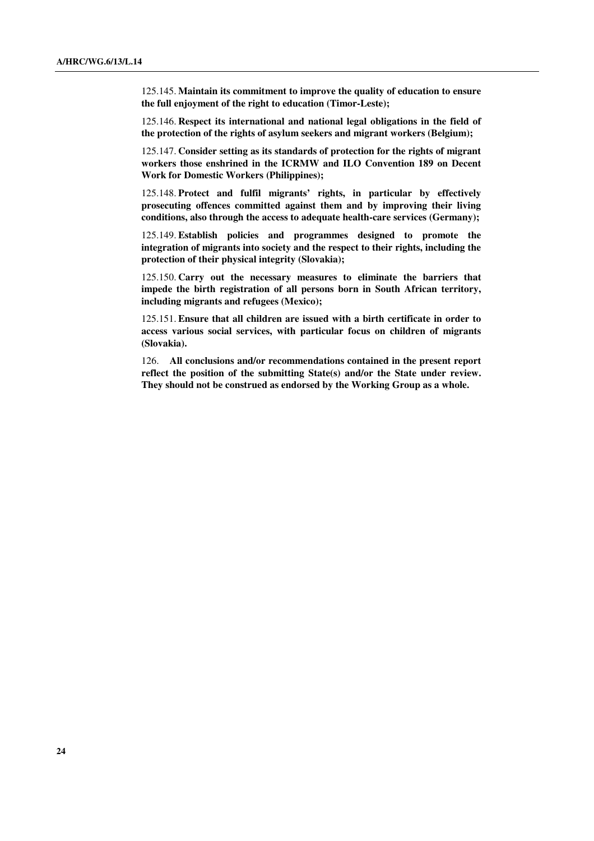125.145. **Maintain its commitment to improve the quality of education to ensure the full enjoyment of the right to education (Timor-Leste);** 

 125.146. **Respect its international and national legal obligations in the field of the protection of the rights of asylum seekers and migrant workers (Belgium);** 

 125.147. **Consider setting as its standards of protection for the rights of migrant workers those enshrined in the ICRMW and ILO Convention 189 on Decent Work for Domestic Workers (Philippines);** 

 125.148. **Protect and fulfil migrants' rights, in particular by effectively prosecuting offences committed against them and by improving their living conditions, also through the access to adequate health-care services (Germany);** 

 125.149. **Establish policies and programmes designed to promote the integration of migrants into society and the respect to their rights, including the protection of their physical integrity (Slovakia);** 

 125.150. **Carry out the necessary measures to eliminate the barriers that impede the birth registration of all persons born in South African territory, including migrants and refugees (Mexico);** 

 125.151. **Ensure that all children are issued with a birth certificate in order to access various social services, with particular focus on children of migrants (Slovakia).**

126. **All conclusions and/or recommendations contained in the present report reflect the position of the submitting State(s) and/or the State under review. They should not be construed as endorsed by the Working Group as a whole.**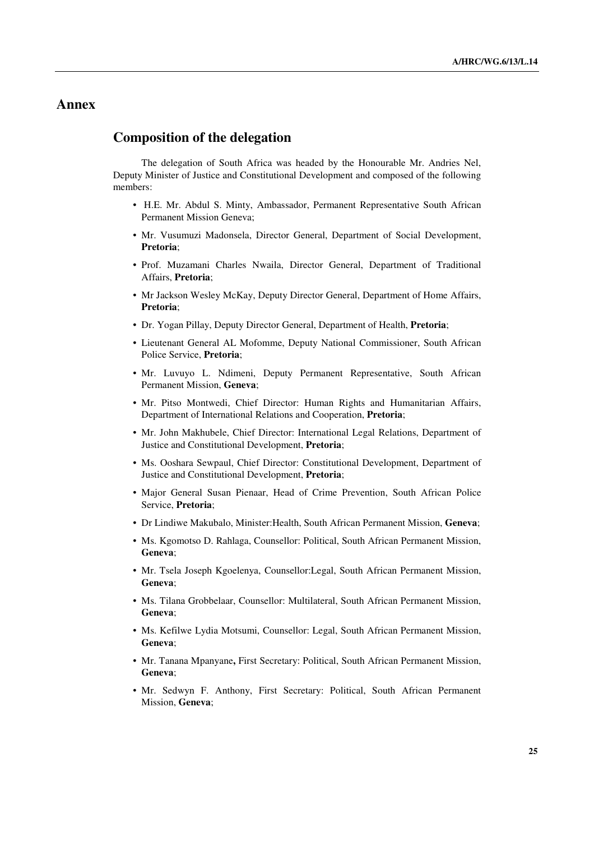## **Annex**

### **Composition of the delegation**

 The delegation of South Africa was headed by the Honourable Mr. Andries Nel, Deputy Minister of Justice and Constitutional Development and composed of the following members:

- H.E. Mr. Abdul S. Minty, Ambassador, Permanent Representative South African Permanent Mission Geneva;
- Mr. Vusumuzi Madonsela, Director General, Department of Social Development, **Pretoria**;
- Prof. Muzamani Charles Nwaila, Director General, Department of Traditional Affairs, **Pretoria**;
- Mr Jackson Wesley McKay, Deputy Director General, Department of Home Affairs, **Pretoria**;
- Dr. Yogan Pillay, Deputy Director General, Department of Health, **Pretoria**;
- Lieutenant General AL Mofomme, Deputy National Commissioner, South African Police Service, **Pretoria**;
- Mr. Luvuyo L. Ndimeni, Deputy Permanent Representative, South African Permanent Mission, **Geneva**;
- Mr. Pitso Montwedi, Chief Director: Human Rights and Humanitarian Affairs, Department of International Relations and Cooperation, **Pretoria**;
- Mr. John Makhubele, Chief Director: International Legal Relations, Department of Justice and Constitutional Development, **Pretoria**;
- Ms. Ooshara Sewpaul, Chief Director: Constitutional Development, Department of Justice and Constitutional Development, **Pretoria**;
- Major General Susan Pienaar, Head of Crime Prevention, South African Police Service, **Pretoria**;
- Dr Lindiwe Makubalo, Minister:Health, South African Permanent Mission, **Geneva**;
- Ms. Kgomotso D. Rahlaga, Counsellor: Political, South African Permanent Mission, **Geneva**;
- Mr. Tsela Joseph Kgoelenya, Counsellor:Legal, South African Permanent Mission, **Geneva**;
- Ms. Tilana Grobbelaar, Counsellor: Multilateral, South African Permanent Mission, **Geneva**;
- Ms. Kefilwe Lydia Motsumi, Counsellor: Legal, South African Permanent Mission, **Geneva**;
- Mr. Tanana Mpanyane**,** First Secretary: Political, South African Permanent Mission, **Geneva**;
- Mr. Sedwyn F. Anthony, First Secretary: Political, South African Permanent Mission, **Geneva**;